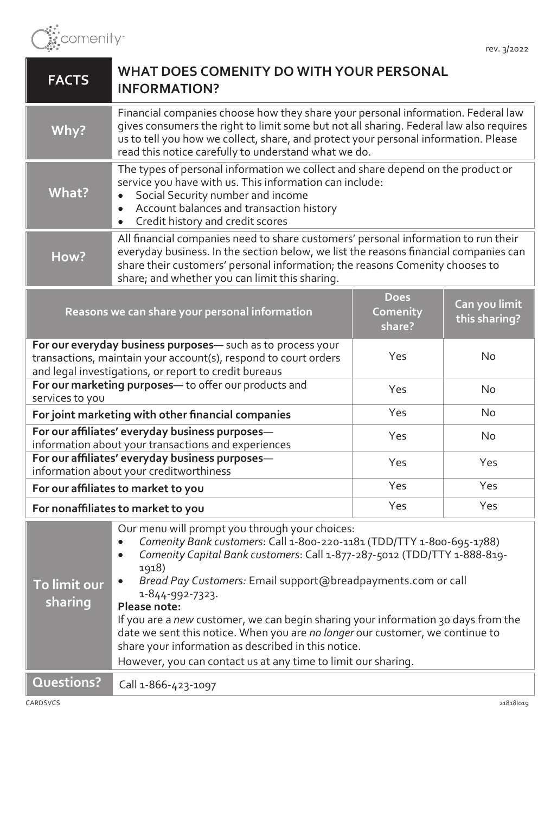

| <b>FACTS</b>                                                                                                                                                                            | WHAT DOES COMENITY DO WITH YOUR PERSONAL<br><b>INFORMATION?</b>                                                                                                                                                                                                                                                                                                                                                                                                                                                                                                                                                                         |                                   |                                |
|-----------------------------------------------------------------------------------------------------------------------------------------------------------------------------------------|-----------------------------------------------------------------------------------------------------------------------------------------------------------------------------------------------------------------------------------------------------------------------------------------------------------------------------------------------------------------------------------------------------------------------------------------------------------------------------------------------------------------------------------------------------------------------------------------------------------------------------------------|-----------------------------------|--------------------------------|
| Why?                                                                                                                                                                                    | Financial companies choose how they share your personal information. Federal law<br>gives consumers the right to limit some but not all sharing. Federal law also requires<br>us to tell you how we collect, share, and protect your personal information. Please<br>read this notice carefully to understand what we do.                                                                                                                                                                                                                                                                                                               |                                   |                                |
| What?                                                                                                                                                                                   | The types of personal information we collect and share depend on the product or<br>service you have with us. This information can include:<br>Social Security number and income<br>Account balances and transaction history<br>$\bullet$<br>Credit history and credit scores<br>$\bullet$                                                                                                                                                                                                                                                                                                                                               |                                   |                                |
| How?                                                                                                                                                                                    | All financial companies need to share customers' personal information to run their<br>everyday business. In the section below, we list the reasons financial companies can<br>share their customers' personal information; the reasons Comenity chooses to<br>share; and whether you can limit this sharing.                                                                                                                                                                                                                                                                                                                            |                                   |                                |
| Reasons we can share your personal information                                                                                                                                          |                                                                                                                                                                                                                                                                                                                                                                                                                                                                                                                                                                                                                                         | <b>Does</b><br>Comenity<br>share? | Can you limit<br>this sharing? |
| For our everyday business purposes- such as to process your<br>transactions, maintain your account(s), respond to court orders<br>and legal investigations, or report to credit bureaus |                                                                                                                                                                                                                                                                                                                                                                                                                                                                                                                                                                                                                                         | Yes                               | <b>No</b>                      |
| For our marketing purposes- to offer our products and<br>services to you                                                                                                                |                                                                                                                                                                                                                                                                                                                                                                                                                                                                                                                                                                                                                                         | Yes                               | <b>No</b>                      |
| For joint marketing with other financial companies                                                                                                                                      |                                                                                                                                                                                                                                                                                                                                                                                                                                                                                                                                                                                                                                         | Yes                               | <b>No</b>                      |
| For our affiliates' everyday business purposes-<br>information about your transactions and experiences                                                                                  |                                                                                                                                                                                                                                                                                                                                                                                                                                                                                                                                                                                                                                         | Yes                               | No                             |
| For our affiliates' everyday business purposes-<br>information about your creditworthiness                                                                                              |                                                                                                                                                                                                                                                                                                                                                                                                                                                                                                                                                                                                                                         | Yes                               | Yes                            |
| For our affiliates to market to you                                                                                                                                                     |                                                                                                                                                                                                                                                                                                                                                                                                                                                                                                                                                                                                                                         | Yes                               | Yes                            |
|                                                                                                                                                                                         | For nonaffiliates to market to you                                                                                                                                                                                                                                                                                                                                                                                                                                                                                                                                                                                                      | Yes                               | Yes                            |
| To limit our<br>sharing                                                                                                                                                                 | Our menu will prompt you through your choices:<br>Comenity Bank customers: Call 1-800-220-1181 (TDD/TTY 1-800-695-1788)<br>$\bullet$<br>Comenity Capital Bank customers: Call 1-877-287-5012 (TDD/TTY 1-888-819-<br>$\bullet$<br>1918)<br>Bread Pay Customers: Email support@breadpayments.com or call<br>1-844-992-7323.<br>Please note:<br>If you are a new customer, we can begin sharing your information 30 days from the<br>date we sent this notice. When you are no longer our customer, we continue to<br>share your information as described in this notice.<br>However, you can contact us at any time to limit our sharing. |                                   |                                |
| Questions?                                                                                                                                                                              | Call 1-866-423-1097                                                                                                                                                                                                                                                                                                                                                                                                                                                                                                                                                                                                                     |                                   |                                |
| CARDSVCS                                                                                                                                                                                |                                                                                                                                                                                                                                                                                                                                                                                                                                                                                                                                                                                                                                         |                                   | 218181019                      |